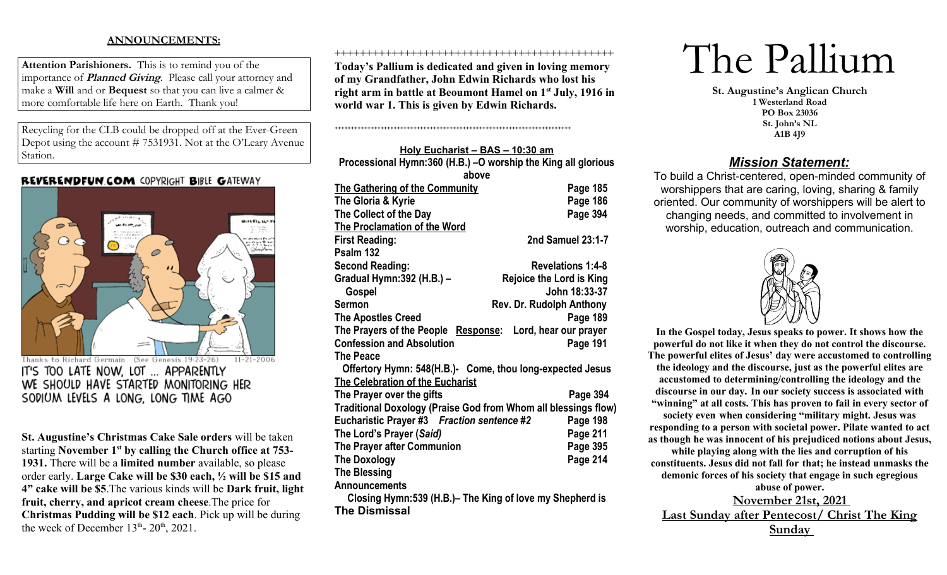# **ANNOUNCEMENTS:**

**Attention Parishioners.** This is to remind you of the importance of **Planned Giving**. Please call your attorney and make a **Will** and or **Bequest** so that you can live a calmer & more comfortable life here on Earth. Thank you!

Recycling for the CLB could be dropped off at the Ever-Green Depot using the account # 7531931. Not at the O'Leary Avenue Station.

# **REVERENDFUN.COM COPYRIGHT BIBLE GATEWAY**



SODIUM LEVELS A LONG, LONG TIME AGO

**St. Augustine's Christmas Cake Sale orders** will be taken starting **November 1st by calling the Church office at 753- 1931.** There will be a **limited number** available, so please order early. **Large Cake will be \$30 each, ½ will be \$15 and 4" cake will be \$5**.The various kinds will be **Dark fruit, light fruit, cherry, and apricot cream cheese**.The price for **Christmas Pudding will be \$12 each**. Pick up will be during the week of December  $13<sup>th</sup>$ -  $20<sup>th</sup>$ ,  $2021$ .

### ++++++++++++++++++++++++++++++++++++++++++++

**Today's Pallium is dedicated and given in loving memory of my Grandfather, John Edwin Richards who lost his right arm in battle at Beoumont Hamel on 1st July, 1916 in world war 1. This is given by Edwin Richards.**

++++++++++++++++++++++++++++++++++++++++++++++++++++++++++++++++++++++++

**Holy Eucharist – BAS – 10:30 am Processional Hymn:360 (H.B.) –O worship the King all glorious above The Gathering of the Community Page 185** The Gloria & Kyrie **Page 186** The Collect of the Day **Page 394 The Proclamation of the Word First Reading: 2nd Samuel 23:1-7 Psalm 132 Second Reading: Revelations 1:4-8 Gradual Hymn:392 (H.B.) – Rejoice the Lord is King Gospel John 18:33-37 Sermon** Rev. Dr. Rudolph Anthony **The Apostles Creed Page 189 The Prayers of the People Response: Lord, hear our prayer Confession and Absolution Page 191 The Peace Offertory Hymn: 548(H.B.)- Come, thou long-expected Jesus The Celebration of the Eucharist The Prayer over the gifts Page 394 Traditional Doxology (Praise God from Whom all blessings flow) Eucharistic Prayer #3** *Fraction sentence #2* **Page 198 The Lord's Prayer (***Said)* **Page 211 The Prayer after Communion Page 395 The Doxology Page 214 The Blessing Announcements Closing Hymn:539 (H.B.)– The King of love my Shepherd is** 

**The Dismissal**

The Pallium

**St. Augustine's Anglican Church 1 Westerland Road PO Box 23036 St. John's NL A1B 4J9**

# *Mission Statement:*

To build a Christ-centered, open-minded community of worshippers that are caring, loving, sharing & family oriented. Our community of worshippers will be alert to changing needs, and committed to involvement in worship, education, outreach and communication.



**In the Gospel today, Jesus speaks to power. It shows how the powerful do not like it when they do not control the discourse. The powerful elites of Jesus' day were accustomed to controlling the ideology and the discourse, just as the powerful elites are accustomed to determining/controlling the ideology and the discourse in our day. In our society success is associated with "winning" at all costs. This has proven to fail in every sector of society even when considering "military might. Jesus was responding to a person with societal power. Pilate wanted to act as though he was innocent of his prejudiced notions about Jesus, while playing along with the lies and corruption of his constituents. Jesus did not fall for that; he instead unmasks the demonic forces of his society that engage in such egregious abuse of power. November 21st, 2021 Last Sunday after Pentecost/ Christ The King Sunday**